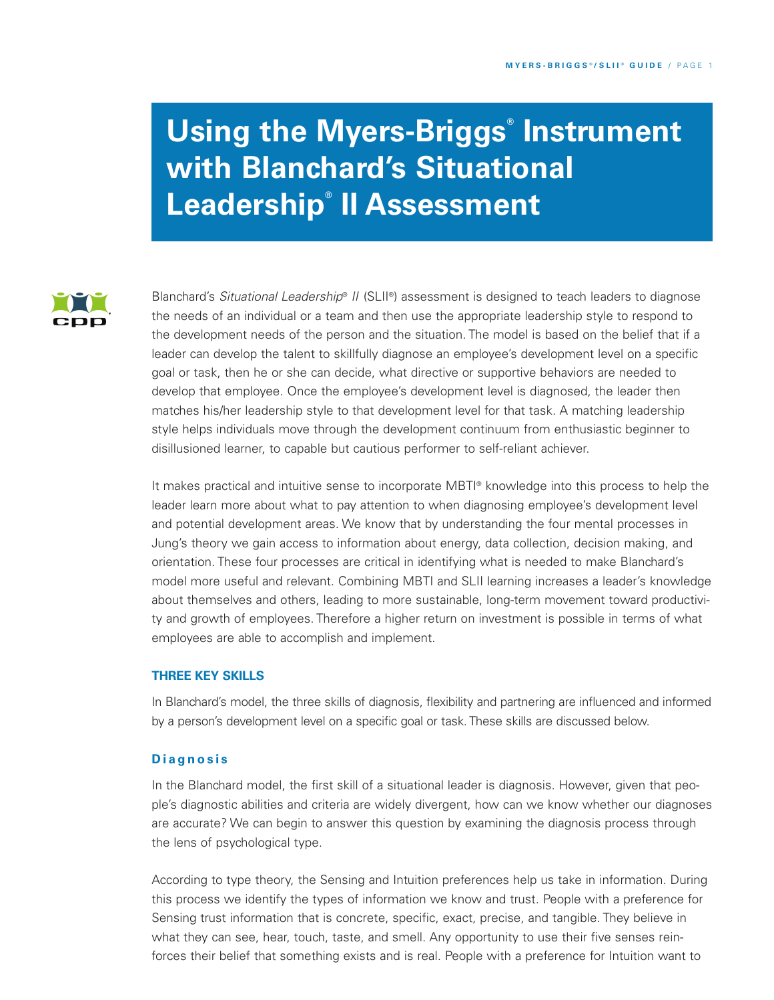# **Using the Myers-Briggs ® Instrument with Blanchard's Situational Leadership ® II Assessment**



Blanchard's *Situational Leadership*® *II* (SLII ®) assessment is designed to teach leaders to diagnose the needs of an individual or a team and then use the appropriate leadership style to respond to the development needs of the person and the situation. The model is based on the belief that if a leader can develop the talent to skillfully diagnose an employee's development level on a specific goal or task, then he or she can decide, what directive or supportive behaviors are needed to develop that employee. Once the employee's development level is diagnosed, the leader then matches his/her leadership style to that development level for that task. A matching leadership style helps individuals move through the development continuum from enthusiastic beginner to disillusioned learner, to capable but cautious performer to self-reliant achiever.

It makes practical and intuitive sense to incorporate MBTI ® knowledge into this process to help the leader learn more about what to pay attention to when diagnosing employee's development level and potential development areas. We know that by understanding the four mental processes in Jung's theory we gain access to information about energy, data collection, decision making, and orientation. These four processes are critical in identifying what is needed to make Blanchard's model more useful and relevant. Combining MBTI and SLII learning increases a leader's knowledge about themselves and others, leading to more sustainable, long-term movement toward productivity and growth of employees. Therefore a higher return on investment is possible in terms of what employees are able to accomplish and implement.

# **THREE KEY SKILLS**

In Blanchard's model, the three skills of diagnosis, flexibility and partnering are influenced and informed by a person's development level on a specific goal or task. These skills are discussed below.

## **D i a g n o s i s**

In the Blanchard model, the first skill of a situational leader is diagnosis. However, given that people's diagnostic abilities and criteria are widely divergent, how can we know whether our diagnoses are accurate? We can begin to answer this question by examining the diagnosis process through the lens of psychological type.

According to type theory, the Sensing and Intuition preferences help us take in information. During this process we identify the types of information we know and trust. People with a preference for Sensing trust information that is concrete, specific, exact, precise, and tangible. They believe in what they can see, hear, touch, taste, and smell. Any opportunity to use their five senses reinforces their belief that something exists and is real. People with a preference for Intuition want to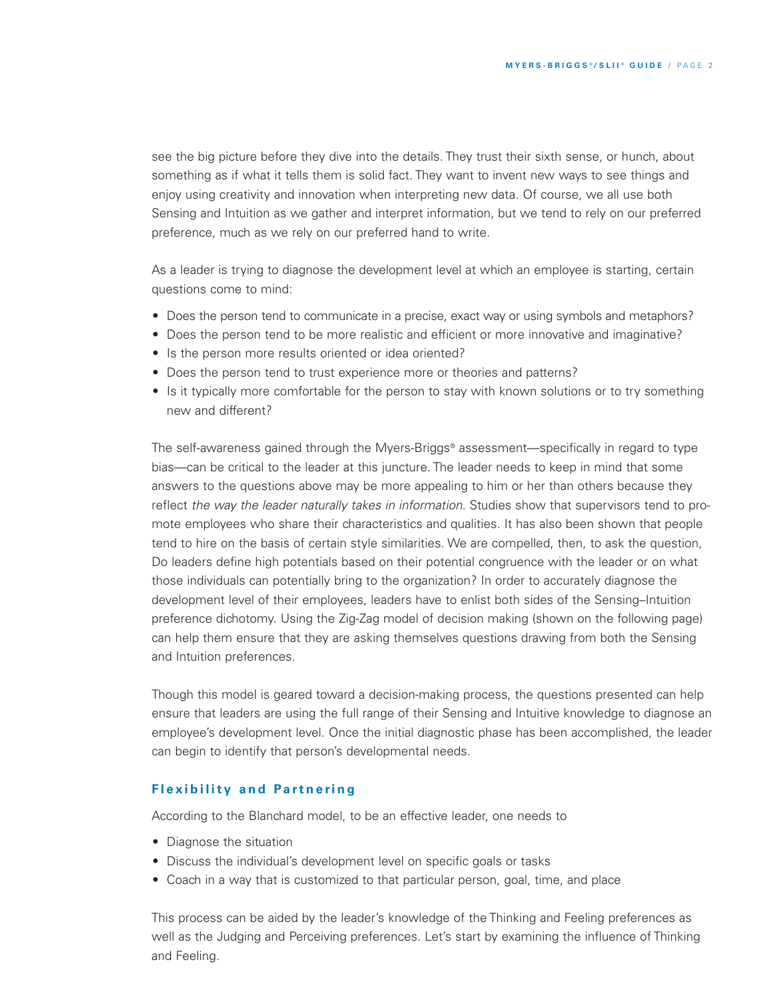see the big picture before they dive into the details. They trust their sixth sense, or hunch, about something as if what it tells them is solid fact. They want to invent new ways to see things and enjoy using creativity and innovation when interpreting new data. Of course, we all use both Sensing and Intuition as we gather and interpret information, but we tend to rely on our preferred preference, much as we rely on our preferred hand to write.

As a leader is trying to diagnose the development level at which an employee is starting, certain questions come to mind:

- Does the person tend to communicate in a precise, exact way or using symbols and metaphors?
- Does the person tend to be more realistic and efficient or more innovative and imaginative?
- Is the person more results oriented or idea oriented?
- Does the person tend to trust experience more or theories and patterns?
- Is it typically more comfortable for the person to stay with known solutions or to try something new and different?

The self-awareness gained through the Myers-Briggs® assessment—specifically in regard to type bias—can be critical to the leader at this juncture. The leader needs to keep in mind that some answers to the questions above may be more appealing to him or her than others because they reflect *the way the leader naturally takes in information*. Studies show that supervisors tend to promote employees who share their characteristics and qualities. It has also been shown that people tend to hire on the basis of certain style similarities. We are compelled, then, to ask the question, Do leaders define high potentials based on their potential congruence with the leader or on what those individuals can potentially bring to the organization? In order to accurately diagnose the development level of their employees, leaders have to enlist both sides of the Sensing–Intuition preference dichotomy. Using the Zig-Zag model of decision making (shown on the following page) can help them ensure that they are asking themselves questions drawing from both the Sensing and Intuition preferences.

Though this model is geared toward a decision-making process, the questions presented can help ensure that leaders are using the full range of their Sensing and Intuitive knowledge to diagnose an employee's development level. Once the initial diagnostic phase has been accomplished, the leader can begin to identify that person's developmental needs.

#### *<u><b>f</del></del> lexibility and Partnering*</u>

According to the Blanchard model, to be an effective leader, one needs to

- Diagnose the situation
- Discuss the individual's development level on specific goals or tasks
- Coach in a way that is customized to that particular person, goal, time, and place

This process can be aided by the leader's knowledge of the Thinking and Feeling preferences as well as the Judging and Perceiving preferences. Let's start by examining the influence of Thinking and Feeling.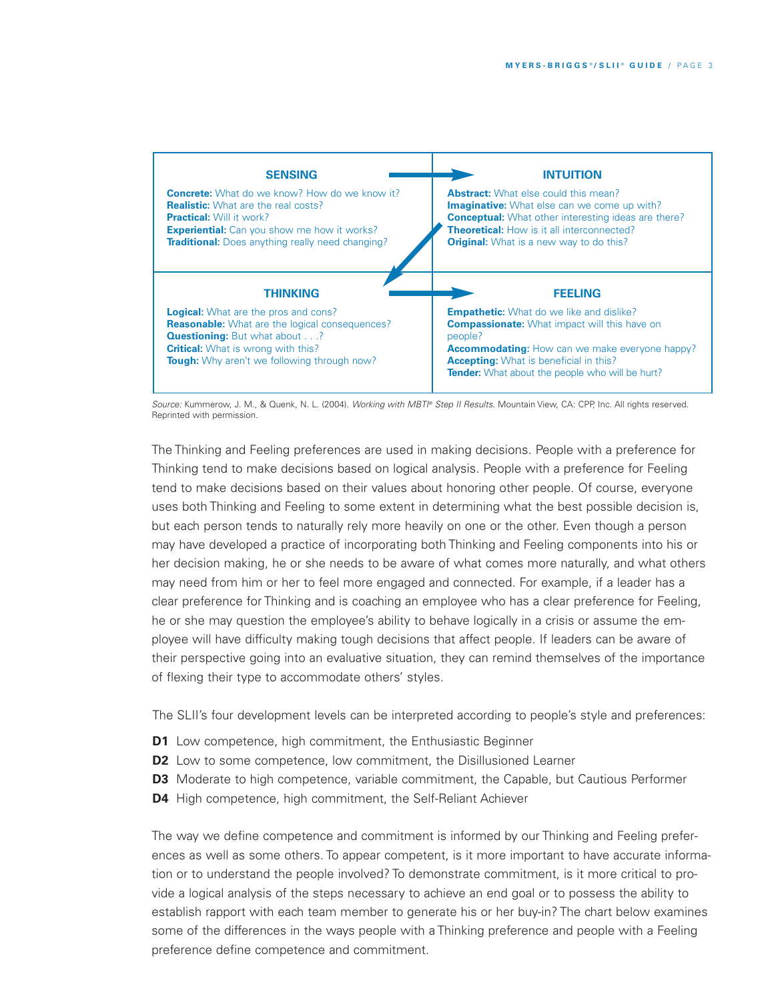

*Source:* Kummerow, J. M., & Quenk, N. L. (2004). *Working with MBTI ® Step II Results.* Mountain View, CA: CPP, Inc. All rights reserved. Reprinted with permission.

The Thinking and Feeling preferences are used in making decisions. People with a preference for Thinking tend to make decisions based on logical analysis. People with a preference for Feeling tend to make decisions based on their values about honoring other people. Of course, everyone uses both Thinking and Feeling to some extent in determining what the best possible decision is, but each person tends to naturally rely more heavily on one or the other. Even though a person may have developed a practice of incorporating both Thinking and Feeling components into his or her decision making, he or she needs to be aware of what comes more naturally, and what others may need from him or her to feel more engaged and connected. For example, if a leader has a clear preference for Thinking and is coaching an employee who has a clear preference for Feeling, he or she may question the employee's ability to behave logically in a crisis or assume the employee will have difficulty making tough decisions that affect people. If leaders can be aware of their perspective going into an evaluative situation, they can remind themselves of the importance of flexing their type to accommodate others' styles.

The SLII's four development levels can be interpreted according to people's style and preferences:

- **D1** Low competence, high commitment, the Enthusiastic Beginner
- **D2** Low to some competence, low commitment, the Disillusioned Learner
- **D3** Moderate to high competence, variable commitment, the Capable, but Cautious Performer
- **D4** High competence, high commitment, the Self-Reliant Achiever

The way we define competence and commitment is informed by our Thinking and Feeling preferences as well as some others. To appear competent, is it more important to have accurate information or to understand the people involved? To demonstrate commitment, is it more critical to provide a logical analysis of the steps necessary to achieve an end goal or to possess the ability to establish rapport with each team member to generate his or her buy-in? The chart below examines some of the differences in the ways people with a Thinking preference and people with a Feeling preference define competence and commitment.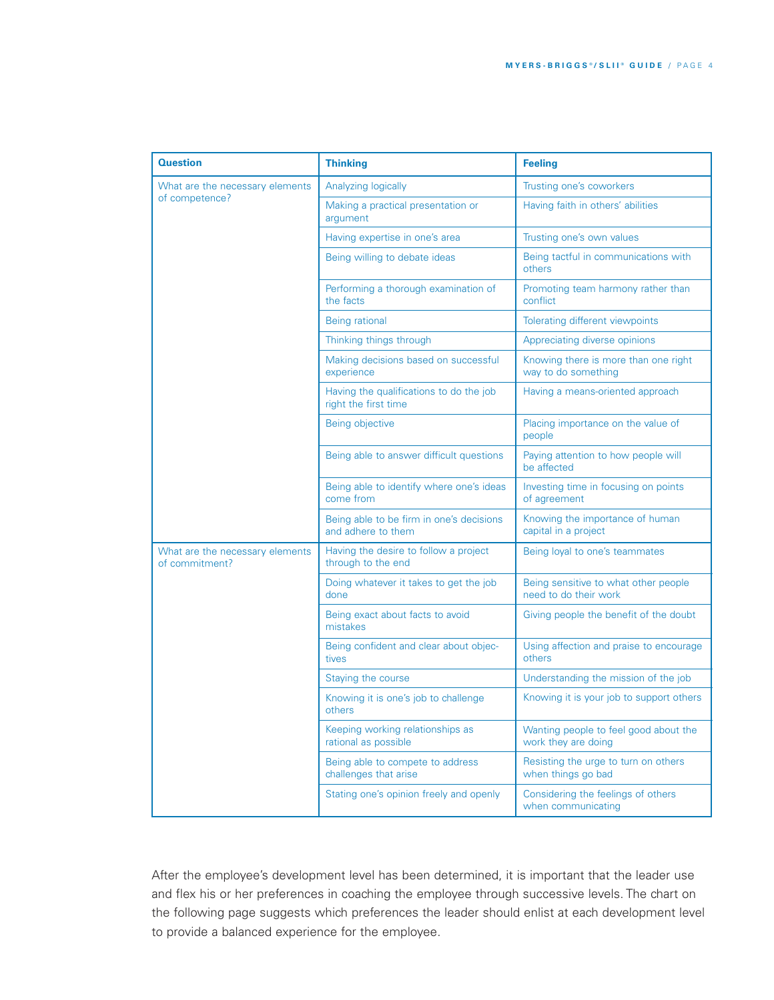| <b>Question</b>                                   | <b>Thinking</b>                                                 | <b>Feeling</b>                                                |
|---------------------------------------------------|-----------------------------------------------------------------|---------------------------------------------------------------|
| What are the necessary elements<br>of competence? | Analyzing logically                                             | Trusting one's coworkers                                      |
|                                                   | Making a practical presentation or<br>argument                  | Having faith in others' abilities                             |
|                                                   | Having expertise in one's area                                  | Trusting one's own values                                     |
|                                                   | Being willing to debate ideas                                   | Being tactful in communications with<br>others                |
|                                                   | Performing a thorough examination of<br>the facts               | Promoting team harmony rather than<br>conflict                |
|                                                   | Being rational                                                  | Tolerating different viewpoints                               |
|                                                   | Thinking things through                                         | Appreciating diverse opinions                                 |
|                                                   | Making decisions based on successful<br>experience              | Knowing there is more than one right<br>way to do something   |
|                                                   | Having the qualifications to do the job<br>right the first time | Having a means-oriented approach                              |
|                                                   | Being objective                                                 | Placing importance on the value of<br>people                  |
|                                                   | Being able to answer difficult questions                        | Paying attention to how people will<br>be affected            |
|                                                   | Being able to identify where one's ideas<br>come from           | Investing time in focusing on points<br>of agreement          |
|                                                   | Being able to be firm in one's decisions<br>and adhere to them  | Knowing the importance of human<br>capital in a project       |
| What are the necessary elements<br>of commitment? | Having the desire to follow a project<br>through to the end     | Being loyal to one's teammates                                |
|                                                   | Doing whatever it takes to get the job<br>done                  | Being sensitive to what other people<br>need to do their work |
|                                                   | Being exact about facts to avoid<br>mistakes                    | Giving people the benefit of the doubt                        |
|                                                   | Being confident and clear about objec-<br>tives                 | Using affection and praise to encourage<br>others             |
|                                                   | Staying the course                                              | Understanding the mission of the job                          |
|                                                   | Knowing it is one's job to challenge<br>others                  | Knowing it is your job to support others                      |
|                                                   | Keeping working relationships as<br>rational as possible        | Wanting people to feel good about the<br>work they are doing  |
|                                                   | Being able to compete to address<br>challenges that arise       | Resisting the urge to turn on others<br>when things go bad    |
|                                                   | Stating one's opinion freely and openly                         | Considering the feelings of others<br>when communicating      |

After the employee's development level has been determined, it is important that the leader use and flex his or her preferences in coaching the employee through successive levels. The chart on the following page suggests which preferences the leader should enlist at each development level to provide a balanced experience for the employee.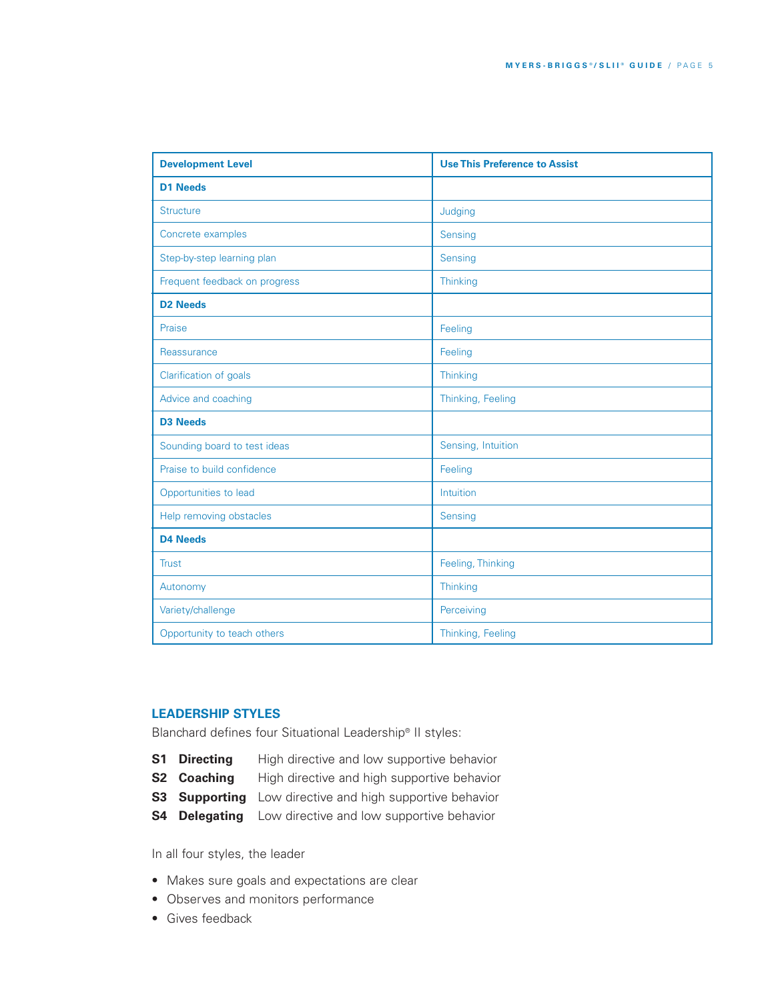| <b>Development Level</b>      | <b>Use This Preference to Assist</b> |  |
|-------------------------------|--------------------------------------|--|
| <b>D1 Needs</b>               |                                      |  |
| <b>Structure</b>              | Judging                              |  |
| Concrete examples             | Sensing                              |  |
| Step-by-step learning plan    | Sensing                              |  |
| Frequent feedback on progress | Thinking                             |  |
| <b>D2 Needs</b>               |                                      |  |
| Praise                        | Feeling                              |  |
| Reassurance                   | Feeling                              |  |
| Clarification of goals        | Thinking                             |  |
| Advice and coaching           | Thinking, Feeling                    |  |
| <b>D3 Needs</b>               |                                      |  |
| Sounding board to test ideas  | Sensing, Intuition                   |  |
| Praise to build confidence    | Feeling                              |  |
| Opportunities to lead         | Intuition                            |  |
| Help removing obstacles       | Sensing                              |  |
| <b>D4 Needs</b>               |                                      |  |
| <b>Trust</b>                  | Feeling, Thinking                    |  |
| Autonomy                      | Thinking                             |  |
| Variety/challenge             | Perceiving                           |  |
| Opportunity to teach others   | Thinking, Feeling                    |  |

# **LEADERSHIP STYLES**

Blanchard defines four Situational Leadership® II styles:

- **S1 Directing** High directive and low supportive behavior
- **S2 Coaching** High directive and high supportive behavior
- **S3 Supporting** Low directive and high supportive behavior
- **S4 Delegating** Low directive and low supportive behavior

In all four styles, the leader

- Makes sure goals and expectations are clear
- Observes and monitors performance
- Gives feedback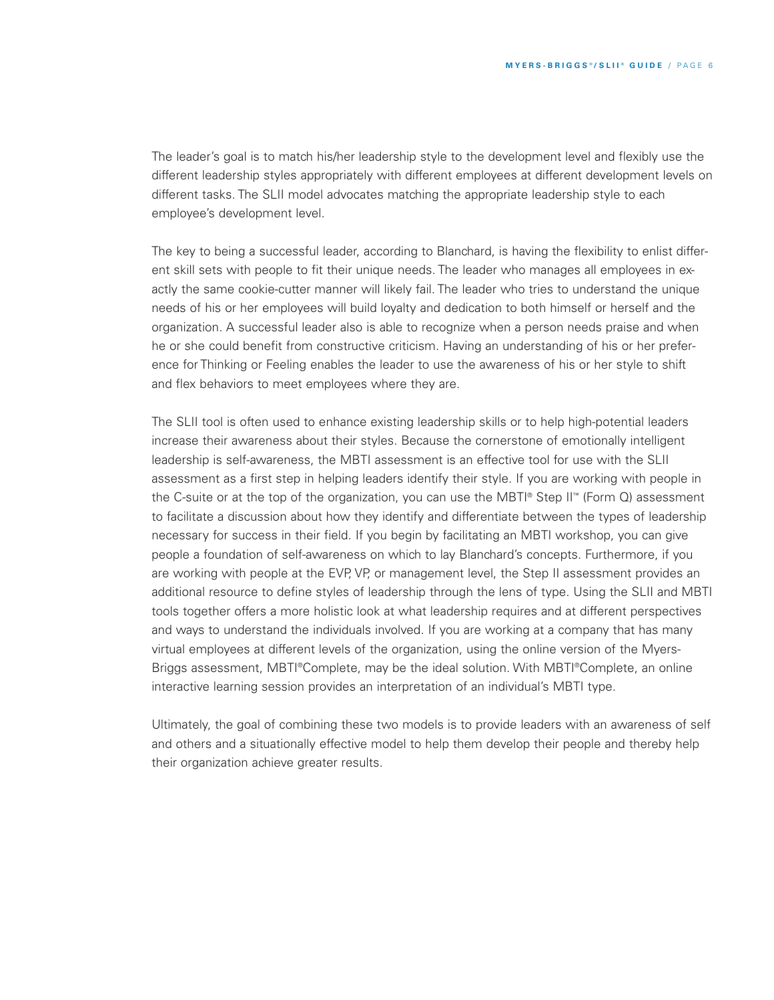The leader's goal is to match his/her leadership style to the development level and flexibly use the different leadership styles appropriately with different employees at different development levels on different tasks. The SLII model advocates matching the appropriate leadership style to each employee's development level.

The key to being a successful leader, according to Blanchard, is having the flexibility to enlist different skill sets with people to fit their unique needs. The leader who manages all employees in exactly the same cookie-cutter manner will likely fail. The leader who tries to understand the unique needs of his or her employees will build loyalty and dedication to both himself or herself and the organization. A successful leader also is able to recognize when a person needs praise and when he or she could benefit from constructive criticism. Having an understanding of his or her preference for Thinking or Feeling enables the leader to use the awareness of his or her style to shift and flex behaviors to meet employees where they are.

The SLII tool is often used to enhance existing leadership skills or to help high-potential leaders increase their awareness about their styles. Because the cornerstone of emotionally intelligent leadership is self-awareness, the MBTI assessment is an effective tool for use with the SLII assessment as a first step in helping leaders identify their style. If you are working with people in the C-suite or at the top of the organization, you can use the MBTI® Step II™ (Form Q) assessment to facilitate a discussion about how they identify and differentiate between the types of leadership necessary for success in their field. If you begin by facilitating an MBTI workshop, you can give people a foundation of self-awareness on which to lay Blanchard's concepts. Furthermore, if you are working with people at the EVP, VP, or management level, the Step II assessment provides an additional resource to define styles of leadership through the lens of type. Using the SLII and MBTI tools together offers a more holistic look at what leadership requires and at different perspectives and ways to understand the individuals involved. If you are working at a company that has many virtual employees at different levels of the organization, using the online version of the Myers-Briggs assessment, MBTI®Complete, may be the ideal solution. With MBTI®Complete, an online interactive learning session provides an interpretation of an individual's MBTI type.

Ultimately, the goal of combining these two models is to provide leaders with an awareness of self and others and a situationally effective model to help them develop their people and thereby help their organization achieve greater results.